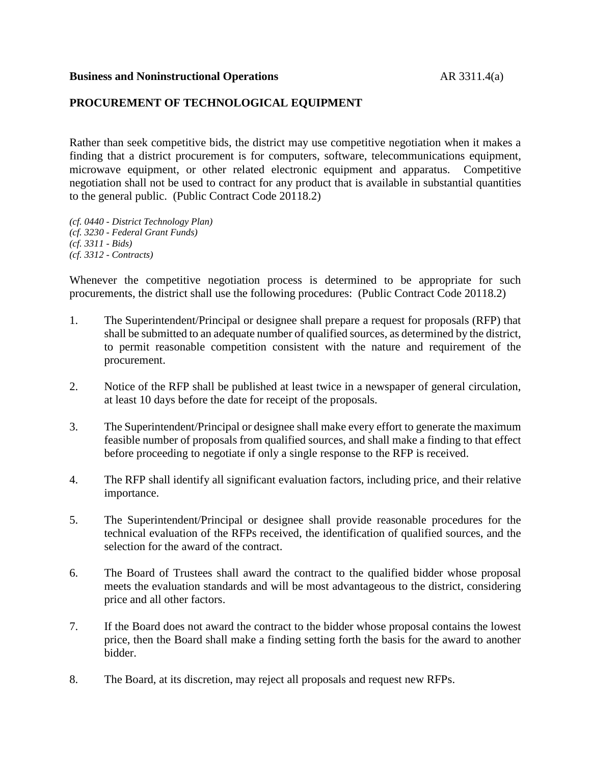## **Business and Noninstructional Operations** AR 3311.4(a)

## **PROCUREMENT OF TECHNOLOGICAL EQUIPMENT**

Rather than seek competitive bids, the district may use competitive negotiation when it makes a finding that a district procurement is for computers, software, telecommunications equipment, microwave equipment, or other related electronic equipment and apparatus. Competitive negotiation shall not be used to contract for any product that is available in substantial quantities to the general public. (Public Contract Code 20118.2)

*(cf. 0440 - District Technology Plan) (cf. 3230 - Federal Grant Funds) (cf. 3311 - Bids) (cf. 3312 - Contracts)*

Whenever the competitive negotiation process is determined to be appropriate for such procurements, the district shall use the following procedures: (Public Contract Code 20118.2)

- 1. The Superintendent/Principal or designee shall prepare a request for proposals (RFP) that shall be submitted to an adequate number of qualified sources, as determined by the district, to permit reasonable competition consistent with the nature and requirement of the procurement.
- 2. Notice of the RFP shall be published at least twice in a newspaper of general circulation, at least 10 days before the date for receipt of the proposals.
- 3. The Superintendent/Principal or designee shall make every effort to generate the maximum feasible number of proposals from qualified sources, and shall make a finding to that effect before proceeding to negotiate if only a single response to the RFP is received.
- 4. The RFP shall identify all significant evaluation factors, including price, and their relative importance.
- 5. The Superintendent/Principal or designee shall provide reasonable procedures for the technical evaluation of the RFPs received, the identification of qualified sources, and the selection for the award of the contract.
- 6. The Board of Trustees shall award the contract to the qualified bidder whose proposal meets the evaluation standards and will be most advantageous to the district, considering price and all other factors.
- 7. If the Board does not award the contract to the bidder whose proposal contains the lowest price, then the Board shall make a finding setting forth the basis for the award to another bidder.
- 8. The Board, at its discretion, may reject all proposals and request new RFPs.